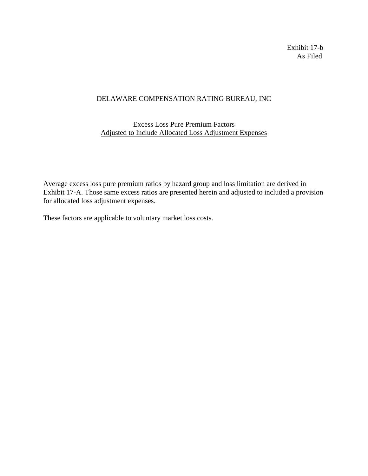Exhibit 17-b As Filed

## DELAWARE COMPENSATION RATING BUREAU, INC

## Excess Loss Pure Premium Factors Adjusted to Include Allocated Loss Adjustment Expenses

Average excess loss pure premium ratios by hazard group and loss limitation are derived in Exhibit 17-A. Those same excess ratios are presented herein and adjusted to included a provision for allocated loss adjustment expenses.

These factors are applicable to voluntary market loss costs.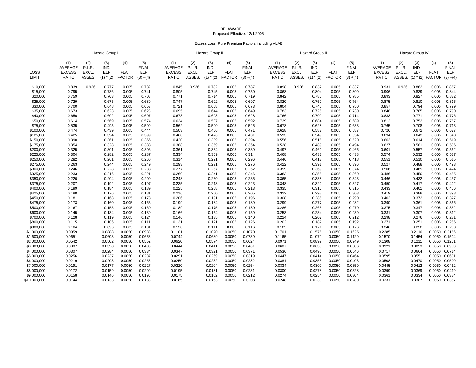## DELAWAREProposed Effective: 12/1/2005

Excess Loss Pure Premium Factors including ALAE

|               | Hazard Group                                    |                                  |                                    |                                     |                                                  | <b>Hazard Group II</b>                          |                                  |                                            |                                     |                                                  | <b>Hazard Group III</b>                         |                                  |                                    |                                     |                                           | Hazard Group IV                                        |                                        |                                            |                                     |                                                  |
|---------------|-------------------------------------------------|----------------------------------|------------------------------------|-------------------------------------|--------------------------------------------------|-------------------------------------------------|----------------------------------|--------------------------------------------|-------------------------------------|--------------------------------------------------|-------------------------------------------------|----------------------------------|------------------------------------|-------------------------------------|-------------------------------------------|--------------------------------------------------------|----------------------------------------|--------------------------------------------|-------------------------------------|--------------------------------------------------|
| LOSS<br>LIMIT | (1)<br>AVERAGE<br><b>EXCESS</b><br><b>RATIO</b> | (2)<br>P.L.R.<br>EXCL.<br>ASSES. | (3)<br>IND.<br>ELF<br>$(1)$ $*(2)$ | (4)<br><b>FLAT</b><br><b>FACTOR</b> | (5)<br><b>FINAL</b><br><b>ELF</b><br>$(3) + (4)$ | (1)<br>AVERAGE<br><b>EXCESS</b><br><b>RATIO</b> | (2)<br>P.L.R.<br>EXCL.<br>ASSES. | (3)<br>IND.<br><b>ELF</b><br>$(1)$ * $(2)$ | (4)<br><b>FLAT</b><br><b>FACTOR</b> | (5)<br><b>FINAL</b><br><b>ELF</b><br>$(3) + (4)$ | (1)<br>AVERAGE<br><b>EXCESS</b><br><b>RATIO</b> | (2)<br>P.L.R.<br>EXCL.<br>ASSES. | (3)<br>IND.<br>ELF<br>$(1)$ $*(2)$ | (4)<br><b>FLAT</b><br><b>FACTOR</b> | (5)<br><b>FINAL</b><br>ELF<br>$(3) + (4)$ | (1)<br><b>AVERAGE</b><br><b>EXCESS</b><br><b>RATIO</b> | (2)<br>P.L.R.<br><b>EXCL</b><br>ASSES. | (3)<br>IND.<br><b>ELF</b><br>$(1)$ * $(2)$ | (4)<br><b>FLAT</b><br><b>FACTOR</b> | (5)<br><b>FINAL</b><br><b>ELF</b><br>$(3) + (4)$ |
| \$10,000      | 0.839                                           | 0.926                            | 0.777                              | 0.005                               | 0.782                                            | 0.845                                           | 0.926                            | 0.782                                      | 0.005                               | 0.787                                            | 0.898                                           | 0.926                            | 0.832                              | 0.005                               | 0.837                                     | 0.931                                                  | 0.926                                  | 0.862                                      | 0.005                               | 0.867                                            |
| \$15,000      | 0.795                                           |                                  | 0.736                              | 0.005                               | 0.741                                            | 0.805                                           |                                  | 0.745                                      | 0.005                               | 0.750                                            | 0.868                                           |                                  | 0.804                              | 0.005                               | 0.809                                     | 0.906                                                  |                                        | 0.839                                      | 0.005                               | 0.844                                            |
| \$20,000      | 0.759                                           |                                  | 0.703                              | 0.005                               | 0.708                                            | 0.771                                           |                                  | 0.714                                      | 0.005                               | 0.719                                            | 0.842                                           |                                  | 0.780                              | 0.005                               | 0.785                                     | 0.893                                                  |                                        | 0.827                                      | 0.005                               | 0.832                                            |
| \$25,000      | 0.729                                           |                                  | 0.675                              | 0.005                               | 0.680                                            | 0.747                                           |                                  | 0.692                                      | 0.005                               | 0.697                                            | 0.820                                           |                                  | 0.759                              | 0.005                               | 0.764                                     | 0.875                                                  |                                        | 0.810                                      | 0.005                               | 0.815                                            |
| \$30,000      | 0.700                                           |                                  | 0.648                              | 0.005                               | 0.653                                            | 0.721                                           |                                  | 0.668                                      | 0.005                               | 0.673                                            | 0.804                                           |                                  | 0.745                              | 0.005                               | 0.750                                     | 0.857                                                  |                                        | 0.794                                      | 0.005                               | 0.799                                            |
| \$35,000      | 0.673                                           |                                  | 0.623                              | 0.005                               | 0.628                                            | 0.695                                           |                                  | 0.644                                      | 0.005                               | 0.649                                            | 0.783                                           |                                  | 0.725                              | 0.005                               | 0.730                                     | 0.848                                                  |                                        | 0.785                                      | 0.005                               | 0.790                                            |
| \$40,000      | 0.650                                           |                                  | 0.602                              | 0.005                               | 0.607                                            | 0.673                                           |                                  | 0.623                                      | 0.005                               | 0.628                                            | 0.766                                           |                                  | 0.709                              | 0.005                               | 0.714                                     | 0.833                                                  |                                        | 0.771                                      | 0.005                               | 0.776                                            |
| \$50,000      | 0.614                                           |                                  | 0.569                              | 0.005                               | 0.574                                            | 0.634                                           |                                  | 0.587                                      | 0.005                               | 0.592                                            | 0.739                                           |                                  | 0.684                              | 0.005                               | 0.689                                     | 0.812                                                  |                                        | 0.752                                      | 0.005                               | 0.757                                            |
|               |                                                 |                                  |                                    |                                     |                                                  |                                                 |                                  |                                            |                                     |                                                  |                                                 |                                  |                                    |                                     |                                           |                                                        |                                        |                                            |                                     |                                                  |
| \$75,000      | 0.535                                           |                                  | 0.495                              | 0.005                               | 0.500                                            | 0.562                                           |                                  | 0.520                                      | 0.005                               | 0.525                                            | 0.678                                           |                                  | 0.628                              | 0.005                               | 0.633                                     | 0.765                                                  |                                        | 0.708                                      | 0.005                               | 0.713                                            |
| \$100,000     | 0.474                                           |                                  | 0.439                              | 0.005                               | 0.444                                            | 0.503                                           |                                  | 0.466                                      | 0.005                               | 0.471                                            | 0.628                                           |                                  | 0.582                              | 0.005                               | 0.587                                     | 0.726                                                  |                                        | 0.672                                      | 0.005                               | 0.677                                            |
| \$125,000     | 0.425                                           |                                  | 0.394                              | 0.005                               | 0.399                                            | 0.460                                           |                                  | 0.426                                      | 0.005                               | 0.431                                            | 0.593                                           |                                  | 0.549                              | 0.005                               | 0.554                                     | 0.694                                                  |                                        | 0.643                                      | 0.005                               | 0.648                                            |
| \$150,000     | 0.390                                           |                                  | 0.361                              | 0.005                               | 0.366                                            | 0.420                                           |                                  | 0.389                                      | 0.005                               | 0.394                                            | 0.556                                           |                                  | 0.515                              | 0.005                               | 0.520                                     | 0.663                                                  |                                        | 0.614                                      | 0.005                               | 0.619                                            |
| \$175,000     | 0.354                                           |                                  | 0.328                              | 0.005                               | 0.333                                            | 0.388                                           |                                  | 0.359                                      | 0.005                               | 0.364                                            | 0.528                                           |                                  | 0.489                              | 0.005                               | 0.494                                     | 0.627                                                  |                                        | 0.581                                      | 0.005                               | 0.586                                            |
| \$200,000     | 0.325                                           |                                  | 0.301                              | 0.005                               | 0.306                                            | 0.361                                           |                                  | 0.334                                      | 0.005                               | 0.339                                            | 0.497                                           |                                  | 0.460                              | 0.005                               | 0.465                                     | 0.601                                                  |                                        | 0.557                                      | 0.005                               | 0.562                                            |
| \$225,000     | 0.304                                           |                                  | 0.282                              | 0.005                               | 0.287                                            | 0.334                                           |                                  | 0.309                                      | 0.005                               | 0.314                                            | 0.468                                           |                                  | 0.433                              | 0.005                               | 0.438                                     | 0.574                                                  |                                        | 0.532                                      | 0.005                               | 0.537                                            |
| \$250,000     | 0.282                                           |                                  | 0.261                              | 0.005                               | 0.266                                            | 0.314                                           |                                  | 0.291                                      | 0.005                               | 0.296                                            | 0.446                                           |                                  | 0.413                              | 0.005                               | 0.418                                     | 0.551                                                  |                                        | 0.510                                      | 0.005                               | 0.515                                            |
| \$275,000     | 0.263                                           |                                  | 0.244                              | 0.005                               | 0.249                                            | 0.293                                           |                                  | 0.271                                      | 0.005                               | 0.276                                            | 0.422                                           |                                  | 0.391                              | 0.005                               | 0.396                                     | 0.527                                                  |                                        | 0.488                                      | 0.005                               | 0.493                                            |
| \$300,000     | 0.246                                           |                                  | 0.228                              | 0.005                               | 0.233                                            | 0.277                                           |                                  | 0.257                                      | 0.005                               | 0.262                                            | 0.399                                           |                                  | 0.369                              | 0.005                               | 0.374                                     | 0.506                                                  |                                        | 0.469                                      | 0.005                               | 0.474                                            |
| \$325,000     | 0.233                                           |                                  | 0.216                              | 0.005                               | 0.221                                            | 0.260                                           |                                  | 0.241                                      | 0.005                               | 0.246                                            | 0.383                                           |                                  | 0.355                              | 0.005                               | 0.360                                     | 0.486                                                  |                                        | 0.450                                      | 0.005                               | 0.455                                            |
| \$350,000     | 0.220                                           |                                  | 0.204                              | 0.005                               | 0.209                                            | 0.248                                           |                                  | 0.230                                      | 0.005                               | 0.235                                            | 0.365                                           |                                  | 0.338                              | 0.005                               | 0.343                                     | 0.466                                                  |                                        | 0.432                                      | 0.005                               | 0.437                                            |
| \$375,000     | 0.207                                           |                                  | 0.192                              | 0.005                               | 0.197                                            | 0.235                                           |                                  | 0.218                                      | 0.005                               | 0.223                                            | 0.348                                           |                                  | 0.322                              | 0.005                               | 0.327                                     | 0.450                                                  |                                        | 0.417                                      | 0.005                               | 0.422                                            |
| \$400,000     | 0.199                                           |                                  | 0.184                              | 0.005                               | 0.189                                            | 0.225                                           |                                  | 0.208                                      | 0.005                               | 0.213                                            | 0.335                                           |                                  | 0.310                              | 0.005                               | 0.315                                     | 0.433                                                  |                                        | 0.401                                      | 0.005                               | 0.406                                            |
| \$425,000     | 0.190                                           |                                  | 0.176                              | 0.005                               | 0.181                                            | 0.216                                           |                                  | 0.200                                      | 0.005                               | 0.205                                            | 0.322                                           |                                  | 0.298                              | 0.005                               | 0.303                                     | 0.419                                                  |                                        | 0.388                                      | 0.005                               | 0.393                                            |
| \$450,000     | 0.181                                           |                                  | 0.168                              | 0.005                               | 0.173                                            | 0.206                                           |                                  | 0.191                                      | 0.005                               | 0.196                                            | 0.308                                           |                                  | 0.285                              | 0.005                               | 0.290                                     | 0.402                                                  |                                        | 0.372                                      | 0.005                               | 0.377                                            |
| \$475,000     | 0.173                                           |                                  | 0.160                              | 0.005                               | 0.165                                            | 0.199                                           |                                  | 0.184                                      | 0.005                               | 0.189                                            | 0.299                                           |                                  | 0.277                              | 0.005                               | 0.282                                     | 0.390                                                  |                                        | 0.361                                      | 0.005                               | 0.366                                            |
| \$500,000     | 0.167                                           |                                  | 0.155                              | 0.005                               | 0.160                                            | 0.189                                           |                                  | 0.175                                      | 0.005                               | 0.180                                            | 0.286                                           |                                  | 0.265                              | 0.005                               | 0.270                                     | 0.375                                                  |                                        | 0.347                                      | 0.005                               | 0.352                                            |
| \$600,000     | 0.145                                           |                                  | 0.134                              | 0.005                               | 0.139                                            | 0.166                                           |                                  | 0.154                                      | 0.005                               | 0.159                                            | 0.253                                           |                                  | 0.234                              | 0.005                               | 0.239                                     | 0.331                                                  |                                        | 0.307                                      | 0.005                               | 0.312                                            |
| \$700,000     | 0.128                                           |                                  | 0.119                              | 0.005                               | 0.124                                            | 0.146                                           |                                  | 0.135                                      | 0.005                               | 0.140                                            | 0.224                                           |                                  | 0.207                              | 0.005                               | 0.212                                     | 0.298                                                  |                                        | 0.276                                      | 0.005                               | 0.281                                            |
| \$800,000     | 0.115                                           |                                  | 0.106                              | 0.005                               | 0.111                                            | 0.131                                           |                                  | 0.121                                      | 0.005                               | 0.126                                            | 0.202                                           |                                  | 0.187                              | 0.005                               | 0.192                                     | 0.271                                                  |                                        | 0.251                                      | 0.005                               | 0.256                                            |
| \$900,000     | 0.104                                           |                                  | 0.096                              | 0.005                               | 0.101                                            | 0.120                                           |                                  | 0.111                                      | 0.005                               | 0.116                                            | 0.185                                           |                                  | 0.171                              | 0.005                               | 0.176                                     | 0.246                                                  |                                        | 0.228                                      | 0.005                               | 0.233                                            |
| \$1,000,000   | 0.0959                                          |                                  | 0.0888                             | 0.0050                              | 0.0938                                           | 0.1101                                          |                                  | 0.1020                                     | 0.0050                              | 0.1070                                           | 0.1701                                          |                                  | 0.1575                             | 0.0050                              | 0.1625                                    | 0.2285                                                 |                                        | 0.2116                                     | 0.0050                              | 0.2166                                           |
| \$1,600,000   | 0.0651                                          |                                  | 0.0603                             | 0.0050                              | 0.0653                                           | 0.0744                                          |                                  | 0.0689                                     | 0.0050                              | 0.0739                                           | 0.1165                                          |                                  | 0.1079                             | 0.0050                              | 0.1129                                    | 0.1570                                                 |                                        | 0.1454                                     | 0.0050                              | 0.1504                                           |
| \$2,000,000   | 0.0542                                          |                                  | 0.0502                             | 0.0050                              | 0.0552                                           | 0.0620                                          |                                  | 0.0574                                     | 0.0050                              | 0.0624                                           | 0.0971                                          |                                  | 0.0899                             | 0.0050                              | 0.0949                                    | 0.1308                                                 |                                        | 0.1211                                     | 0.0050                              | 0.1261                                           |
| \$3,000,000   | 0.0387                                          |                                  | 0.0358                             | 0.0050                              | 0.0408                                           | 0.0444                                          |                                  | 0.0411                                     | 0.0050                              | 0.0461                                           | 0.0687                                          |                                  | 0.0636                             | 0.0050                              | 0.0686                                    | 0.0921                                                 |                                        | 0.0853                                     | 0.0050 0.0903                       |                                                  |
| \$4,000,000   | 0.0307                                          |                                  | 0.0284                             | 0.0050                              | 0.0334                                           | 0.0347                                          |                                  | 0.0321                                     | 0.0050                              | 0.0371                                           | 0.0536                                          |                                  | 0.0496                             | 0.0050                              | 0.0546                                    | 0.0717                                                 |                                        | 0.0664                                     | 0.0050 0.0714                       |                                                  |
| \$5,000,000   | 0.0256                                          |                                  | 0.0237                             | 0.0050                              | 0.0287                                           | 0.0291                                          |                                  | 0.0269                                     | 0.0050                              | 0.0319                                           | 0.0447                                          |                                  | 0.0414                             | 0.0050                              | 0.0464                                    | 0.0595                                                 |                                        | 0.0551                                     | 0.0050                              | 0.0601                                           |
| \$6,000,000   | 0.0219                                          |                                  | 0.0203                             | 0.0050                              | 0.0253                                           | 0.0250                                          |                                  | 0.0232                                     | 0.0050                              | 0.0282                                           | 0.0381                                          |                                  | 0.0353                             | 0.0050                              | 0.0403                                    | 0.0508                                                 |                                        | 0.0470                                     | 0.0050                              | 0.0520                                           |
| \$7,000,000   | 0.0191                                          |                                  | 0.0177                             | 0.0050                              | 0.0227                                           | 0.0220                                          |                                  | 0.0204                                     | 0.0050                              | 0.0254                                           | 0.0334                                          |                                  | 0.0309                             | 0.0050                              | 0.0359                                    | 0.0445                                                 |                                        | 0.0412                                     | 0.0050                              | 0.0462                                           |
| \$8,000,000   | 0.0172                                          |                                  | 0.0159                             | 0.0050                              | 0.0209                                           | 0.0195                                          |                                  | 0.0181                                     | 0.0050                              | 0.0231                                           | 0.0300                                          |                                  | 0.0278                             | 0.0050                              | 0.0328                                    | 0.0399                                                 |                                        | 0.0369                                     | 0.0050                              | 0.0419                                           |
| \$9,000,000   | 0.0158                                          |                                  | 0.0146                             | 0.0050                              | 0.0196                                           | 0.0175                                          |                                  | 0.0162                                     | 0.0050                              | 0.0212                                           | 0.0274                                          |                                  | 0.0254                             | 0.0050                              | 0.0304                                    | 0.0361                                                 |                                        | 0.0334                                     | 0.0050                              | 0.0384                                           |
| \$10,000,000  | 0.0144                                          |                                  | 0.0133                             | 0.0050                              | 0.0183                                           | 0.0165                                          |                                  | 0.0153                                     | 0.0050                              | 0.0203                                           | 0.0248                                          |                                  | 0.0230                             | 0.0050                              | 0.0280                                    | 0.0331                                                 |                                        | 0.0307                                     | 0.0050                              | 0.0357                                           |
|               |                                                 |                                  |                                    |                                     |                                                  |                                                 |                                  |                                            |                                     |                                                  |                                                 |                                  |                                    |                                     |                                           |                                                        |                                        |                                            |                                     |                                                  |